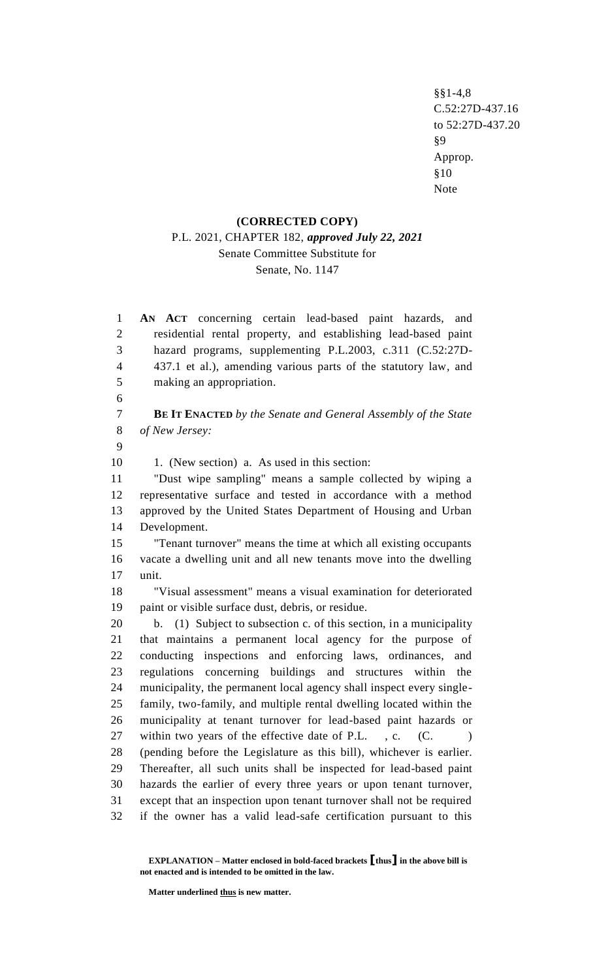§§1-4,8 C.52:27D-437.16 to 52:27D-437.20 §9 Approp. §10 Note

#### **(CORRECTED COPY)**

## P.L. 2021, CHAPTER 182, *approved July 22, 2021* Senate Committee Substitute for Senate, No. 1147

 **AN ACT** concerning certain lead-based paint hazards, and residential rental property, and establishing lead-based paint hazard programs, supplementing P.L.2003, c.311 (C.52:27D- 437.1 et al.), amending various parts of the statutory law, and making an appropriation. **BE IT ENACTED** *by the Senate and General Assembly of the State of New Jersey:* 10 1. (New section) a. As used in this section: "Dust wipe sampling" means a sample collected by wiping a representative surface and tested in accordance with a method approved by the United States Department of Housing and Urban Development. "Tenant turnover" means the time at which all existing occupants vacate a dwelling unit and all new tenants move into the dwelling unit. "Visual assessment" means a visual examination for deteriorated paint or visible surface dust, debris, or residue. b. (1) Subject to subsection c. of this section, in a municipality that maintains a permanent local agency for the purpose of conducting inspections and enforcing laws, ordinances, and regulations concerning buildings and structures within the municipality, the permanent local agency shall inspect every single- family, two-family, and multiple rental dwelling located within the municipality at tenant turnover for lead-based paint hazards or 27 within two years of the effective date of P.L., c. (C.) (pending before the Legislature as this bill), whichever is earlier. Thereafter, all such units shall be inspected for lead-based paint hazards the earlier of every three years or upon tenant turnover, except that an inspection upon tenant turnover shall not be required if the owner has a valid lead-safe certification pursuant to this

**Matter underlined thus is new matter.**

**EXPLANATION – Matter enclosed in bold-faced brackets [thus] in the above bill is not enacted and is intended to be omitted in the law.**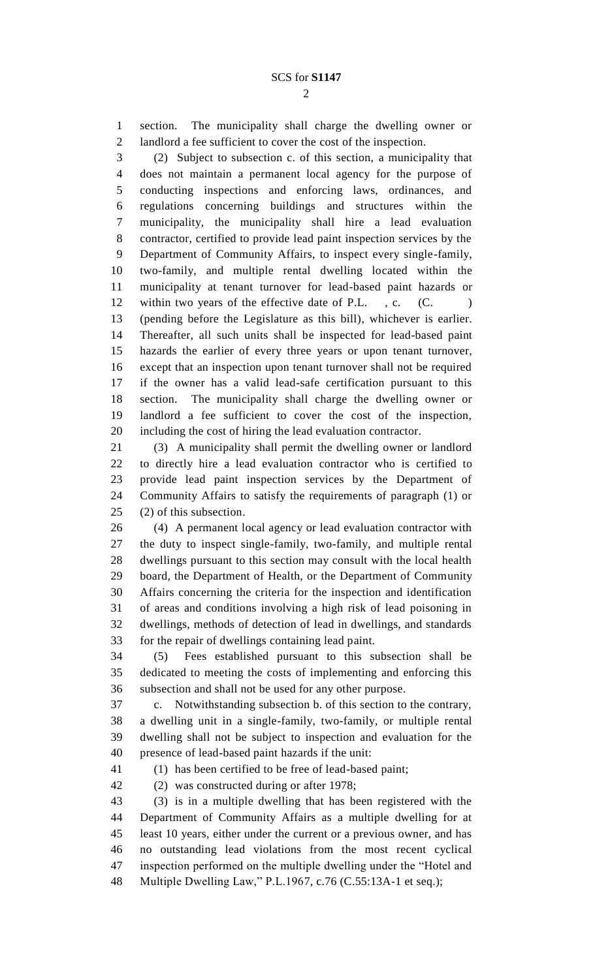section. The municipality shall charge the dwelling owner or landlord a fee sufficient to cover the cost of the inspection.

 (2) Subject to subsection c. of this section, a municipality that does not maintain a permanent local agency for the purpose of conducting inspections and enforcing laws, ordinances, and regulations concerning buildings and structures within the municipality, the municipality shall hire a lead evaluation contractor, certified to provide lead paint inspection services by the Department of Community Affairs, to inspect every single-family, two-family, and multiple rental dwelling located within the municipality at tenant turnover for lead-based paint hazards or 12 within two years of the effective date of P.L., c. (C.) (pending before the Legislature as this bill), whichever is earlier. Thereafter, all such units shall be inspected for lead-based paint hazards the earlier of every three years or upon tenant turnover, except that an inspection upon tenant turnover shall not be required if the owner has a valid lead-safe certification pursuant to this section. The municipality shall charge the dwelling owner or landlord a fee sufficient to cover the cost of the inspection, including the cost of hiring the lead evaluation contractor.

 (3) A municipality shall permit the dwelling owner or landlord to directly hire a lead evaluation contractor who is certified to provide lead paint inspection services by the Department of Community Affairs to satisfy the requirements of paragraph (1) or (2) of this subsection.

 (4) A permanent local agency or lead evaluation contractor with the duty to inspect single-family, two-family, and multiple rental dwellings pursuant to this section may consult with the local health board, the Department of Health, or the Department of Community Affairs concerning the criteria for the inspection and identification of areas and conditions involving a high risk of lead poisoning in dwellings, methods of detection of lead in dwellings, and standards for the repair of dwellings containing lead paint.

 (5) Fees established pursuant to this subsection shall be dedicated to meeting the costs of implementing and enforcing this subsection and shall not be used for any other purpose.

 c. Notwithstanding subsection b. of this section to the contrary, a dwelling unit in a single-family, two-family, or multiple rental dwelling shall not be subject to inspection and evaluation for the presence of lead-based paint hazards if the unit:

(1) has been certified to be free of lead-based paint;

(2) was constructed during or after 1978;

 (3) is in a multiple dwelling that has been registered with the Department of Community Affairs as a multiple dwelling for at least 10 years, either under the current or a previous owner, and has no outstanding lead violations from the most recent cyclical inspection performed on the multiple dwelling under the "Hotel and Multiple Dwelling Law," P.L.1967, c.76 (C.55:13A-1 et seq.);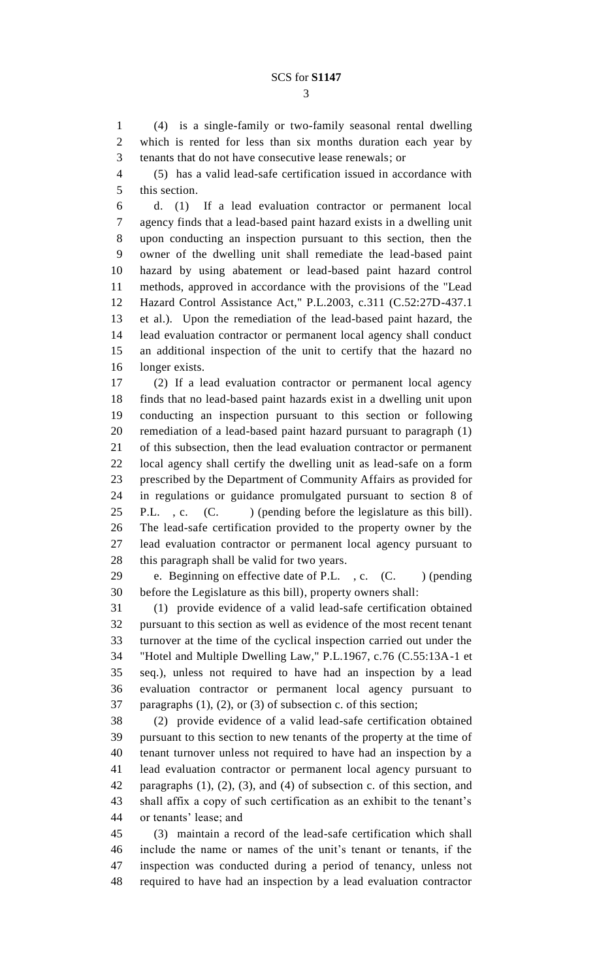(4) is a single-family or two-family seasonal rental dwelling which is rented for less than six months duration each year by tenants that do not have consecutive lease renewals; or

 (5) has a valid lead-safe certification issued in accordance with this section.

 d. (1) If a lead evaluation contractor or permanent local agency finds that a lead-based paint hazard exists in a dwelling unit upon conducting an inspection pursuant to this section, then the owner of the dwelling unit shall remediate the lead-based paint hazard by using abatement or lead-based paint hazard control methods, approved in accordance with the provisions of the "Lead Hazard Control Assistance Act," P.L.2003, c.311 (C.52:27D-437.1 et al.). Upon the remediation of the lead-based paint hazard, the lead evaluation contractor or permanent local agency shall conduct an additional inspection of the unit to certify that the hazard no longer exists.

 (2) If a lead evaluation contractor or permanent local agency finds that no lead-based paint hazards exist in a dwelling unit upon conducting an inspection pursuant to this section or following remediation of a lead-based paint hazard pursuant to paragraph (1) of this subsection, then the lead evaluation contractor or permanent local agency shall certify the dwelling unit as lead-safe on a form prescribed by the Department of Community Affairs as provided for in regulations or guidance promulgated pursuant to section 8 of 25 P.L., c. (C. ) (pending before the legislature as this bill). The lead-safe certification provided to the property owner by the lead evaluation contractor or permanent local agency pursuant to this paragraph shall be valid for two years.

29 e. Beginning on effective date of P.L., c. (C. ) (pending before the Legislature as this bill), property owners shall:

 (1) provide evidence of a valid lead-safe certification obtained pursuant to this section as well as evidence of the most recent tenant turnover at the time of the cyclical inspection carried out under the "Hotel and Multiple Dwelling Law," P.L.1967, c.76 (C.55:13A-1 et seq.), unless not required to have had an inspection by a lead evaluation contractor or permanent local agency pursuant to paragraphs (1), (2), or (3) of subsection c. of this section;

 (2) provide evidence of a valid lead-safe certification obtained pursuant to this section to new tenants of the property at the time of tenant turnover unless not required to have had an inspection by a lead evaluation contractor or permanent local agency pursuant to paragraphs (1), (2), (3), and (4) of subsection c. of this section, and shall affix a copy of such certification as an exhibit to the tenant's or tenants' lease; and

 (3) maintain a record of the lead-safe certification which shall include the name or names of the unit's tenant or tenants, if the inspection was conducted during a period of tenancy, unless not required to have had an inspection by a lead evaluation contractor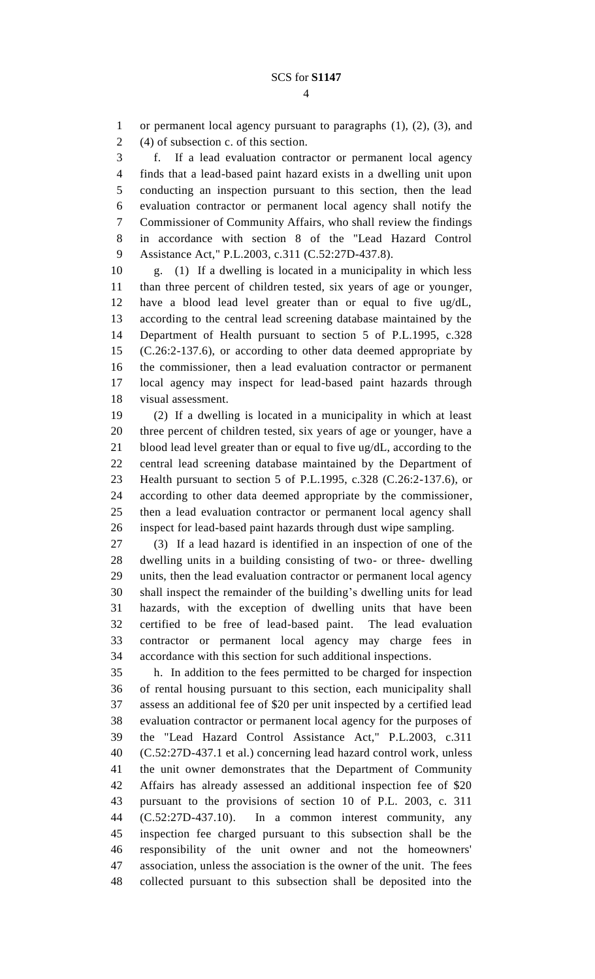or permanent local agency pursuant to paragraphs (1), (2), (3), and (4) of subsection c. of this section.

 f. If a lead evaluation contractor or permanent local agency finds that a lead-based paint hazard exists in a dwelling unit upon conducting an inspection pursuant to this section, then the lead evaluation contractor or permanent local agency shall notify the Commissioner of Community Affairs, who shall review the findings in accordance with section 8 of the "Lead Hazard Control Assistance Act," P.L.2003, c.311 (C.52:27D-437.8).

 g. (1) If a dwelling is located in a municipality in which less than three percent of children tested, six years of age or younger, have a blood lead level greater than or equal to five ug/dL, according to the central lead screening database maintained by the Department of Health pursuant to section 5 of P.L.1995, c.328 (C.26:2-137.6), or according to other data deemed appropriate by the commissioner, then a lead evaluation contractor or permanent local agency may inspect for lead-based paint hazards through visual assessment.

 (2) If a dwelling is located in a municipality in which at least three percent of children tested, six years of age or younger, have a blood lead level greater than or equal to five ug/dL, according to the central lead screening database maintained by the Department of Health pursuant to section 5 of P.L.1995, c.328 (C.26:2-137.6), or according to other data deemed appropriate by the commissioner, then a lead evaluation contractor or permanent local agency shall inspect for lead-based paint hazards through dust wipe sampling.

 (3) If a lead hazard is identified in an inspection of one of the dwelling units in a building consisting of two- or three- dwelling units, then the lead evaluation contractor or permanent local agency shall inspect the remainder of the building's dwelling units for lead hazards, with the exception of dwelling units that have been certified to be free of lead-based paint. The lead evaluation contractor or permanent local agency may charge fees in accordance with this section for such additional inspections.

 h. In addition to the fees permitted to be charged for inspection of rental housing pursuant to this section, each municipality shall assess an additional fee of \$20 per unit inspected by a certified lead evaluation contractor or permanent local agency for the purposes of the "Lead Hazard Control Assistance Act," P.L.2003, c.311 (C.52:27D-437.1 et al.) concerning lead hazard control work, unless the unit owner demonstrates that the Department of Community Affairs has already assessed an additional inspection fee of \$20 pursuant to the provisions of section 10 of P.L. 2003, c. 311 (C.52:27D-437.10). In a common interest community, any inspection fee charged pursuant to this subsection shall be the responsibility of the unit owner and not the homeowners' association, unless the association is the owner of the unit. The fees collected pursuant to this subsection shall be deposited into the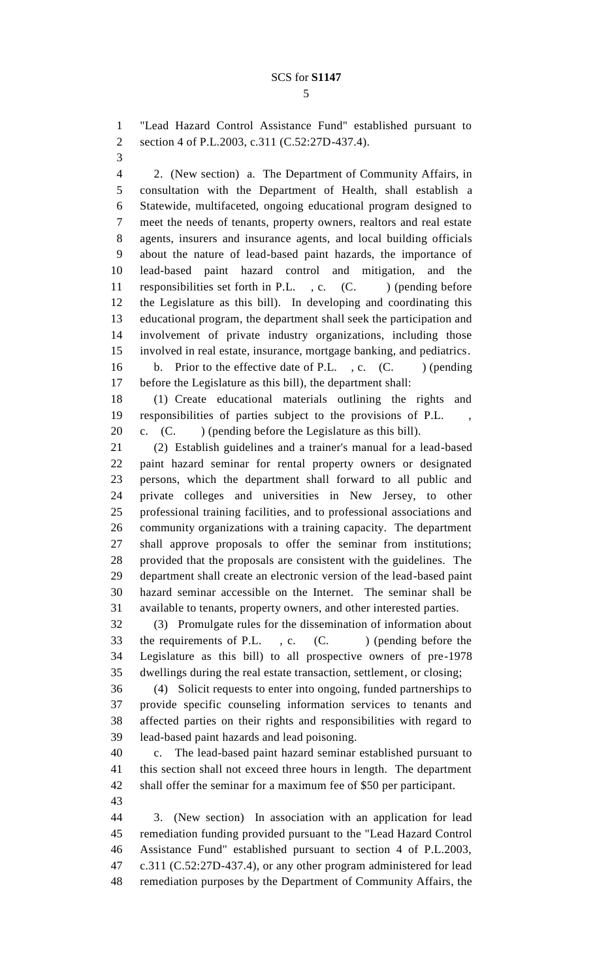"Lead Hazard Control Assistance Fund" established pursuant to section 4 of P.L.2003, c.311 (C.52:27D-437.4).

 2. (New section) a. The Department of Community Affairs, in consultation with the Department of Health, shall establish a Statewide, multifaceted, ongoing educational program designed to meet the needs of tenants, property owners, realtors and real estate agents, insurers and insurance agents, and local building officials about the nature of lead-based paint hazards, the importance of lead-based paint hazard control and mitigation, and the 11 responsibilities set forth in P.L., c. (C.) (pending before the Legislature as this bill). In developing and coordinating this educational program, the department shall seek the participation and involvement of private industry organizations, including those involved in real estate, insurance, mortgage banking, and pediatrics. 16 b. Prior to the effective date of P.L., c. (C. ) (pending before the Legislature as this bill), the department shall:

 (1) Create educational materials outlining the rights and responsibilities of parties subject to the provisions of P.L. , c. (C. ) (pending before the Legislature as this bill).

 (2) Establish guidelines and a trainer's manual for a lead-based paint hazard seminar for rental property owners or designated persons, which the department shall forward to all public and private colleges and universities in New Jersey, to other professional training facilities, and to professional associations and community organizations with a training capacity. The department shall approve proposals to offer the seminar from institutions; provided that the proposals are consistent with the guidelines. The department shall create an electronic version of the lead-based paint hazard seminar accessible on the Internet. The seminar shall be available to tenants, property owners, and other interested parties.

 (3) Promulgate rules for the dissemination of information about 33 the requirements of P.L., c. (C.) (pending before the Legislature as this bill) to all prospective owners of pre-1978 dwellings during the real estate transaction, settlement, or closing;

 (4) Solicit requests to enter into ongoing, funded partnerships to provide specific counseling information services to tenants and affected parties on their rights and responsibilities with regard to lead-based paint hazards and lead poisoning.

 c. The lead-based paint hazard seminar established pursuant to this section shall not exceed three hours in length. The department shall offer the seminar for a maximum fee of \$50 per participant.

 3. (New section) In association with an application for lead remediation funding provided pursuant to the "Lead Hazard Control Assistance Fund" established pursuant to section 4 of P.L.2003, c.311 (C.52:27D-437.4), or any other program administered for lead remediation purposes by the Department of Community Affairs, the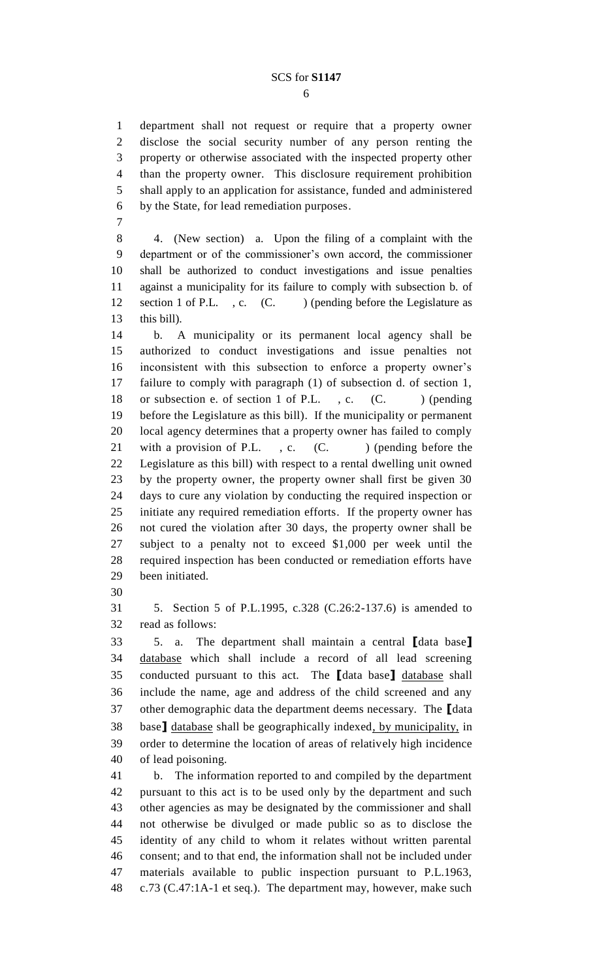#### SCS for **S1147**

 department shall not request or require that a property owner disclose the social security number of any person renting the property or otherwise associated with the inspected property other than the property owner. This disclosure requirement prohibition shall apply to an application for assistance, funded and administered by the State, for lead remediation purposes.

 4. (New section) a. Upon the filing of a complaint with the department or of the commissioner's own accord, the commissioner shall be authorized to conduct investigations and issue penalties against a municipality for its failure to comply with subsection b. of 12 section 1 of P.L., c. (C.) (pending before the Legislature as this bill).

 b. A municipality or its permanent local agency shall be authorized to conduct investigations and issue penalties not inconsistent with this subsection to enforce a property owner's failure to comply with paragraph (1) of subsection d. of section 1, 18 or subsection e. of section 1 of P.L., c. (C.) (pending before the Legislature as this bill). If the municipality or permanent local agency determines that a property owner has failed to comply 21 with a provision of P.L.  $\cdot$ , c.  $(C.$  (pending before the Legislature as this bill) with respect to a rental dwelling unit owned by the property owner, the property owner shall first be given 30 days to cure any violation by conducting the required inspection or initiate any required remediation efforts. If the property owner has not cured the violation after 30 days, the property owner shall be subject to a penalty not to exceed \$1,000 per week until the required inspection has been conducted or remediation efforts have been initiated.

 5. Section 5 of P.L.1995, c.328 (C.26:2-137.6) is amended to read as follows:

 5. a. The department shall maintain a central **[**data base**]** database which shall include a record of all lead screening conducted pursuant to this act. The **[**data base**]** database shall include the name, age and address of the child screened and any other demographic data the department deems necessary. The **[**data base**]** database shall be geographically indexed, by municipality, in order to determine the location of areas of relatively high incidence of lead poisoning.

 b. The information reported to and compiled by the department pursuant to this act is to be used only by the department and such other agencies as may be designated by the commissioner and shall not otherwise be divulged or made public so as to disclose the identity of any child to whom it relates without written parental consent; and to that end, the information shall not be included under materials available to public inspection pursuant to P.L.1963, c.73 (C.47:1A-1 et seq.). The department may, however, make such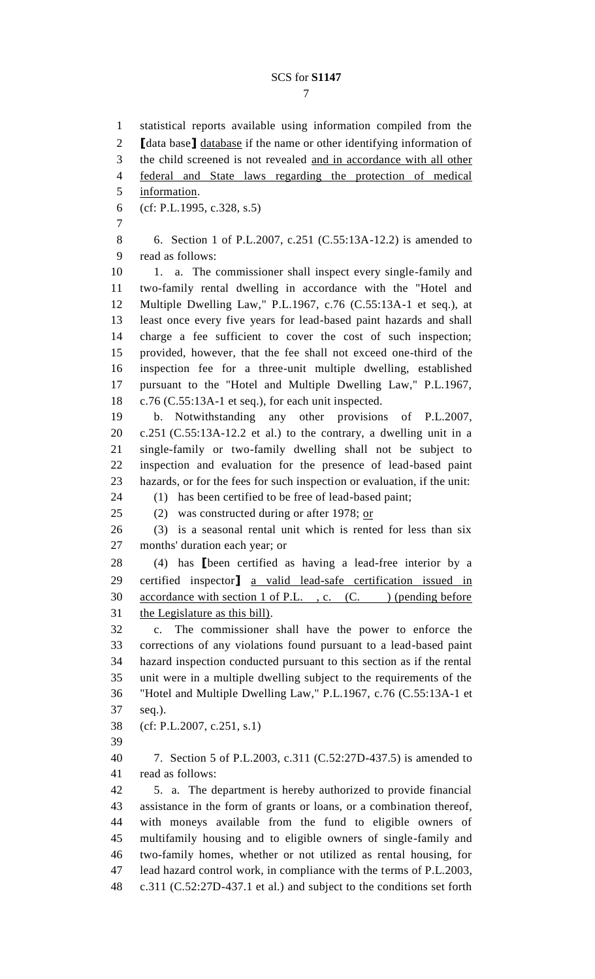# SCS for **S1147**

 statistical reports available using information compiled from the **[**data base**]** database if the name or other identifying information of the child screened is not revealed and in accordance with all other federal and State laws regarding the protection of medical information. (cf: P.L.1995, c.328, s.5) 6. Section 1 of P.L.2007, c.251 (C.55:13A-12.2) is amended to read as follows: 10 1. a. The commissioner shall inspect every single-family and two-family rental dwelling in accordance with the "Hotel and Multiple Dwelling Law," P.L.1967, c.76 (C.55:13A-1 et seq.), at least once every five years for lead-based paint hazards and shall charge a fee sufficient to cover the cost of such inspection; provided, however, that the fee shall not exceed one-third of the inspection fee for a three-unit multiple dwelling, established pursuant to the "Hotel and Multiple Dwelling Law," P.L.1967, c.76 (C.55:13A-1 et seq.), for each unit inspected. b. Notwithstanding any other provisions of P.L.2007, c.251 (C.55:13A-12.2 et al.) to the contrary, a dwelling unit in a single-family or two-family dwelling shall not be subject to inspection and evaluation for the presence of lead-based paint hazards, or for the fees for such inspection or evaluation, if the unit: (1) has been certified to be free of lead-based paint; 25 (2) was constructed during or after 1978;  $or$ </u> (3) is a seasonal rental unit which is rented for less than six months' duration each year; or (4) has **[**been certified as having a lead-free interior by a certified inspector**]** a valid lead-safe certification issued in 30 accordance with section 1 of P.L., c. (C. ) (pending before the Legislature as this bill). c. The commissioner shall have the power to enforce the corrections of any violations found pursuant to a lead-based paint hazard inspection conducted pursuant to this section as if the rental unit were in a multiple dwelling subject to the requirements of the "Hotel and Multiple Dwelling Law," P.L.1967, c.76 (C.55:13A-1 et seq.). (cf: P.L.2007, c.251, s.1) 7. Section 5 of P.L.2003, c.311 (C.52:27D-437.5) is amended to read as follows: 5. a. The department is hereby authorized to provide financial assistance in the form of grants or loans, or a combination thereof, with moneys available from the fund to eligible owners of multifamily housing and to eligible owners of single-family and two-family homes, whether or not utilized as rental housing, for lead hazard control work, in compliance with the terms of P.L.2003, c.311 (C.52:27D-437.1 et al.) and subject to the conditions set forth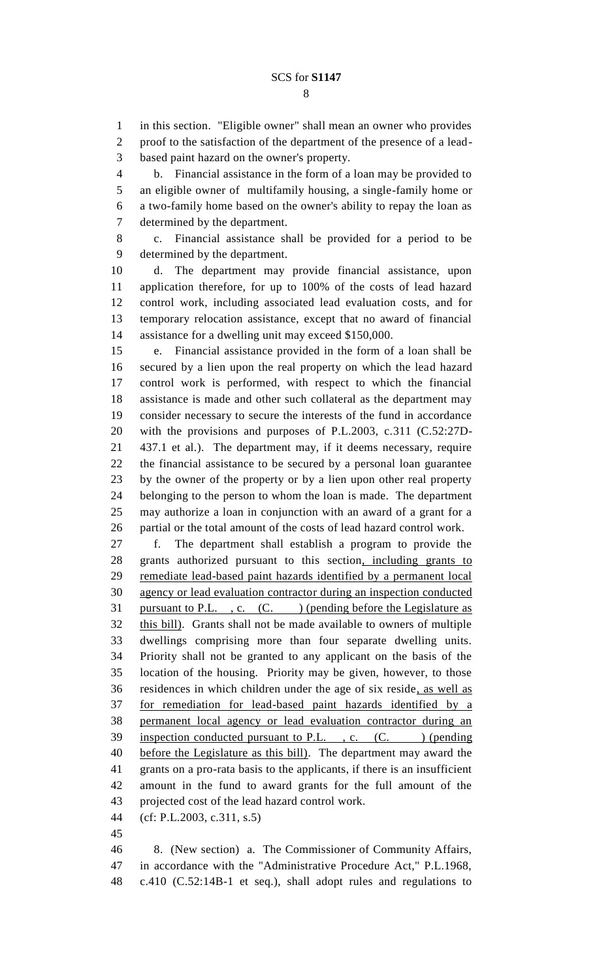### SCS for **S1147**

 in this section. "Eligible owner" shall mean an owner who provides proof to the satisfaction of the department of the presence of a lead-

based paint hazard on the owner's property.

 b. Financial assistance in the form of a loan may be provided to an eligible owner of multifamily housing, a single-family home or a two-family home based on the owner's ability to repay the loan as determined by the department.

 c. Financial assistance shall be provided for a period to be determined by the department.

 d. The department may provide financial assistance, upon application therefore, for up to 100% of the costs of lead hazard control work, including associated lead evaluation costs, and for temporary relocation assistance, except that no award of financial assistance for a dwelling unit may exceed \$150,000.

 e. Financial assistance provided in the form of a loan shall be secured by a lien upon the real property on which the lead hazard control work is performed, with respect to which the financial assistance is made and other such collateral as the department may consider necessary to secure the interests of the fund in accordance with the provisions and purposes of P.L.2003, c.311 (C.52:27D- 437.1 et al.). The department may, if it deems necessary, require the financial assistance to be secured by a personal loan guarantee by the owner of the property or by a lien upon other real property belonging to the person to whom the loan is made. The department may authorize a loan in conjunction with an award of a grant for a partial or the total amount of the costs of lead hazard control work.

 f. The department shall establish a program to provide the grants authorized pursuant to this section, including grants to remediate lead-based paint hazards identified by a permanent local agency or lead evaluation contractor during an inspection conducted 31 pursuant to P.L. , c.  $(C.$  ) (pending before the Legislature as this bill). Grants shall not be made available to owners of multiple dwellings comprising more than four separate dwelling units. Priority shall not be granted to any applicant on the basis of the location of the housing. Priority may be given, however, to those residences in which children under the age of six reside, as well as for remediation for lead-based paint hazards identified by a permanent local agency or lead evaluation contractor during an 39 inspection conducted pursuant to P.L., c. (C.) (pending before the Legislature as this bill). The department may award the grants on a pro-rata basis to the applicants, if there is an insufficient amount in the fund to award grants for the full amount of the projected cost of the lead hazard control work.

(cf: P.L.2003, c.311, s.5)

 8. (New section) a. The Commissioner of Community Affairs, in accordance with the "Administrative Procedure Act," P.L.1968, c.410 (C.52:14B-1 et seq.), shall adopt rules and regulations to